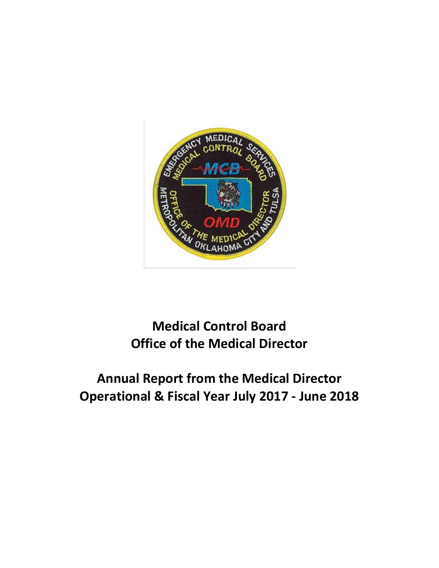

# **Medical Control Board Office of the Medical Director**

# **Annual Report from the Medical Director Operational & Fiscal Year July 2017 - June 2018**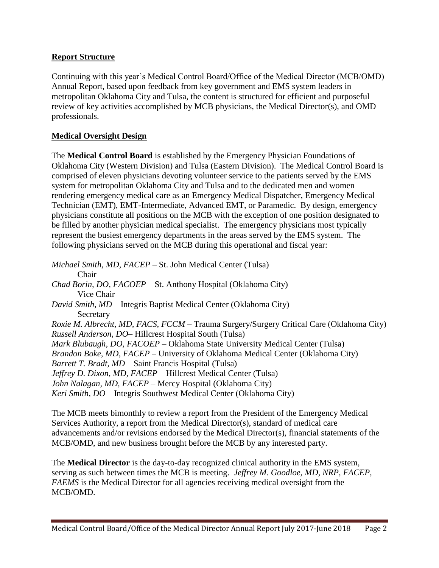#### **Report Structure**

Continuing with this year's Medical Control Board/Office of the Medical Director (MCB/OMD) Annual Report, based upon feedback from key government and EMS system leaders in metropolitan Oklahoma City and Tulsa, the content is structured for efficient and purposeful review of key activities accomplished by MCB physicians, the Medical Director(s), and OMD professionals.

#### **Medical Oversight Design**

The **Medical Control Board** is established by the Emergency Physician Foundations of Oklahoma City (Western Division) and Tulsa (Eastern Division). The Medical Control Board is comprised of eleven physicians devoting volunteer service to the patients served by the EMS system for metropolitan Oklahoma City and Tulsa and to the dedicated men and women rendering emergency medical care as an Emergency Medical Dispatcher, Emergency Medical Technician (EMT), EMT-Intermediate, Advanced EMT, or Paramedic. By design, emergency physicians constitute all positions on the MCB with the exception of one position designated to be filled by another physician medical specialist. The emergency physicians most typically represent the busiest emergency departments in the areas served by the EMS system. The following physicians served on the MCB during this operational and fiscal year:

*Michael Smith, MD, FACEP* – St. John Medical Center (Tulsa) Chair *Chad Borin, DO, FACOEP* – St. Anthony Hospital (Oklahoma City) Vice Chair *David Smith, MD* – Integris Baptist Medical Center (Oklahoma City) **Secretary** *Roxie M. Albrecht, MD, FACS, FCCM* – Trauma Surgery/Surgery Critical Care (Oklahoma City) *Russell Anderson, DO*– Hillcrest Hospital South (Tulsa) *Mark Blubaugh, DO, FACOEP* – Oklahoma State University Medical Center (Tulsa) *Brandon Boke, MD, FACEP* – University of Oklahoma Medical Center (Oklahoma City) *Barrett T. Bradt, MD* – Saint Francis Hospital (Tulsa) *Jeffrey D. Dixon, MD, FACEP* – Hillcrest Medical Center (Tulsa) *John Nalagan, MD, FACEP* – Mercy Hospital (Oklahoma City) *Keri Smith, DO* – Integris Southwest Medical Center (Oklahoma City)

The MCB meets bimonthly to review a report from the President of the Emergency Medical Services Authority, a report from the Medical Director(s), standard of medical care advancements and/or revisions endorsed by the Medical Director(s), financial statements of the MCB/OMD, and new business brought before the MCB by any interested party.

The **Medical Director** is the day-to-day recognized clinical authority in the EMS system, serving as such between times the MCB is meeting. *Jeffrey M. Goodloe, MD, NRP, FACEP, FAEMS* is the Medical Director for all agencies receiving medical oversight from the MCB/OMD.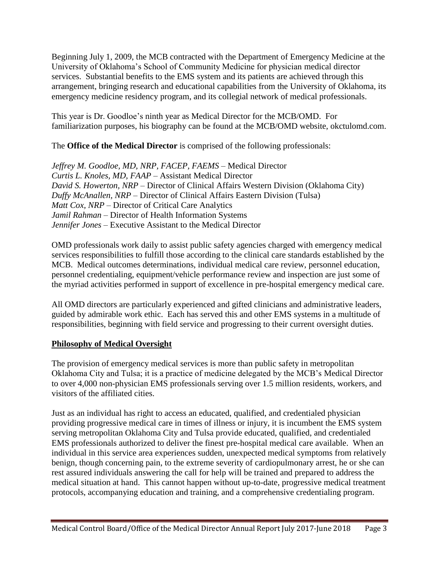Beginning July 1, 2009, the MCB contracted with the Department of Emergency Medicine at the University of Oklahoma's School of Community Medicine for physician medical director services. Substantial benefits to the EMS system and its patients are achieved through this arrangement, bringing research and educational capabilities from the University of Oklahoma, its emergency medicine residency program, and its collegial network of medical professionals.

This year is Dr. Goodloe's ninth year as Medical Director for the MCB/OMD. For familiarization purposes, his biography can be found at the MCB/OMD website, okctulomd.com.

The **Office of the Medical Director** is comprised of the following professionals:

*Jeffrey M. Goodloe, MD, NRP, FACEP, FAEMS* – Medical Director *Curtis L. Knoles, MD, FAAP* – Assistant Medical Director *David S. Howerton, NRP* – Director of Clinical Affairs Western Division (Oklahoma City) *Duffy McAnallen, NRP* – Director of Clinical Affairs Eastern Division (Tulsa) *Matt Cox, NRP* – Director of Critical Care Analytics *Jamil Rahman* – Director of Health Information Systems *Jennifer Jones* – Executive Assistant to the Medical Director

OMD professionals work daily to assist public safety agencies charged with emergency medical services responsibilities to fulfill those according to the clinical care standards established by the MCB. Medical outcomes determinations, individual medical care review, personnel education, personnel credentialing, equipment/vehicle performance review and inspection are just some of the myriad activities performed in support of excellence in pre-hospital emergency medical care.

All OMD directors are particularly experienced and gifted clinicians and administrative leaders, guided by admirable work ethic. Each has served this and other EMS systems in a multitude of responsibilities, beginning with field service and progressing to their current oversight duties.

## **Philosophy of Medical Oversight**

The provision of emergency medical services is more than public safety in metropolitan Oklahoma City and Tulsa; it is a practice of medicine delegated by the MCB's Medical Director to over 4,000 non-physician EMS professionals serving over 1.5 million residents, workers, and visitors of the affiliated cities.

Just as an individual has right to access an educated, qualified, and credentialed physician providing progressive medical care in times of illness or injury, it is incumbent the EMS system serving metropolitan Oklahoma City and Tulsa provide educated, qualified, and credentialed EMS professionals authorized to deliver the finest pre-hospital medical care available. When an individual in this service area experiences sudden, unexpected medical symptoms from relatively benign, though concerning pain, to the extreme severity of cardiopulmonary arrest, he or she can rest assured individuals answering the call for help will be trained and prepared to address the medical situation at hand. This cannot happen without up-to-date, progressive medical treatment protocols, accompanying education and training, and a comprehensive credentialing program.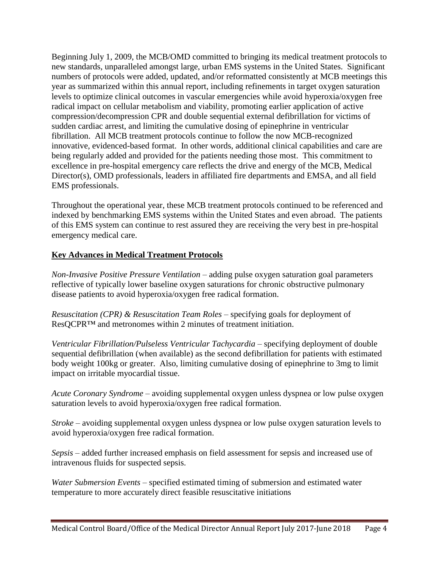Beginning July 1, 2009, the MCB/OMD committed to bringing its medical treatment protocols to new standards, unparalleled amongst large, urban EMS systems in the United States. Significant numbers of protocols were added, updated, and/or reformatted consistently at MCB meetings this year as summarized within this annual report, including refinements in target oxygen saturation levels to optimize clinical outcomes in vascular emergencies while avoid hyperoxia/oxygen free radical impact on cellular metabolism and viability, promoting earlier application of active compression/decompression CPR and double sequential external defibrillation for victims of sudden cardiac arrest, and limiting the cumulative dosing of epinephrine in ventricular fibrillation. All MCB treatment protocols continue to follow the now MCB-recognized innovative, evidenced-based format. In other words, additional clinical capabilities and care are being regularly added and provided for the patients needing those most. This commitment to excellence in pre-hospital emergency care reflects the drive and energy of the MCB, Medical Director(s), OMD professionals, leaders in affiliated fire departments and EMSA, and all field EMS professionals.

Throughout the operational year, these MCB treatment protocols continued to be referenced and indexed by benchmarking EMS systems within the United States and even abroad. The patients of this EMS system can continue to rest assured they are receiving the very best in pre-hospital emergency medical care.

#### **Key Advances in Medical Treatment Protocols**

*Non-Invasive Positive Pressure Ventilation* – adding pulse oxygen saturation goal parameters reflective of typically lower baseline oxygen saturations for chronic obstructive pulmonary disease patients to avoid hyperoxia/oxygen free radical formation.

*Resuscitation (CPR) & Resuscitation Team Roles* – specifying goals for deployment of ResQCPR™ and metronomes within 2 minutes of treatment initiation.

*Ventricular Fibrillation/Pulseless Ventricular Tachycardia – specifying deployment of double* sequential defibrillation (when available) as the second defibrillation for patients with estimated body weight 100kg or greater. Also, limiting cumulative dosing of epinephrine to 3mg to limit impact on irritable myocardial tissue.

*Acute Coronary Syndrome* – avoiding supplemental oxygen unless dyspnea or low pulse oxygen saturation levels to avoid hyperoxia/oxygen free radical formation.

*Stroke* – avoiding supplemental oxygen unless dyspnea or low pulse oxygen saturation levels to avoid hyperoxia/oxygen free radical formation.

*Sepsis* – added further increased emphasis on field assessment for sepsis and increased use of intravenous fluids for suspected sepsis.

*Water Submersion Events* – specified estimated timing of submersion and estimated water temperature to more accurately direct feasible resuscitative initiations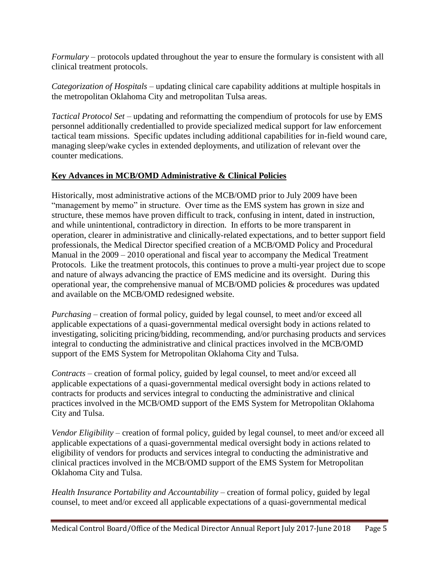*Formulary* – protocols updated throughout the year to ensure the formulary is consistent with all clinical treatment protocols.

*Categorization of Hospitals* – updating clinical care capability additions at multiple hospitals in the metropolitan Oklahoma City and metropolitan Tulsa areas.

*Tactical Protocol Set* – updating and reformatting the compendium of protocols for use by EMS personnel additionally credentialled to provide specialized medical support for law enforcement tactical team missions. Specific updates including additional capabilities for in-field wound care, managing sleep/wake cycles in extended deployments, and utilization of relevant over the counter medications.

### **Key Advances in MCB/OMD Administrative & Clinical Policies**

Historically, most administrative actions of the MCB/OMD prior to July 2009 have been "management by memo" in structure. Over time as the EMS system has grown in size and structure, these memos have proven difficult to track, confusing in intent, dated in instruction, and while unintentional, contradictory in direction. In efforts to be more transparent in operation, clearer in administrative and clinically-related expectations, and to better support field professionals, the Medical Director specified creation of a MCB/OMD Policy and Procedural Manual in the 2009 – 2010 operational and fiscal year to accompany the Medical Treatment Protocols. Like the treatment protocols, this continues to prove a multi-year project due to scope and nature of always advancing the practice of EMS medicine and its oversight. During this operational year, the comprehensive manual of MCB/OMD policies & procedures was updated and available on the MCB/OMD redesigned website.

*Purchasing* – creation of formal policy, guided by legal counsel, to meet and/or exceed all applicable expectations of a quasi-governmental medical oversight body in actions related to investigating, soliciting pricing/bidding, recommending, and/or purchasing products and services integral to conducting the administrative and clinical practices involved in the MCB/OMD support of the EMS System for Metropolitan Oklahoma City and Tulsa.

*Contracts* – creation of formal policy, guided by legal counsel, to meet and/or exceed all applicable expectations of a quasi-governmental medical oversight body in actions related to contracts for products and services integral to conducting the administrative and clinical practices involved in the MCB/OMD support of the EMS System for Metropolitan Oklahoma City and Tulsa.

*Vendor Eligibility* – creation of formal policy, guided by legal counsel, to meet and/or exceed all applicable expectations of a quasi-governmental medical oversight body in actions related to eligibility of vendors for products and services integral to conducting the administrative and clinical practices involved in the MCB/OMD support of the EMS System for Metropolitan Oklahoma City and Tulsa.

*Health Insurance Portability and Accountability* – creation of formal policy, guided by legal counsel, to meet and/or exceed all applicable expectations of a quasi-governmental medical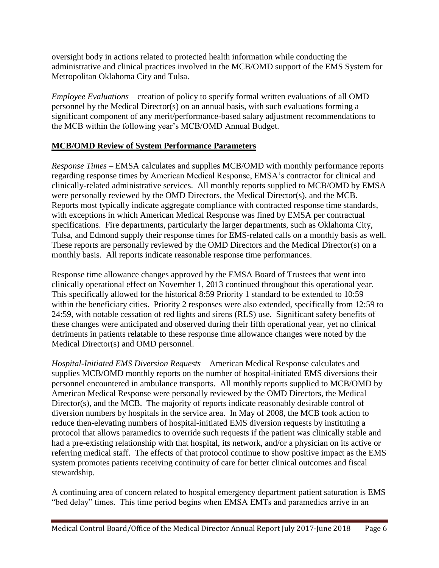oversight body in actions related to protected health information while conducting the administrative and clinical practices involved in the MCB/OMD support of the EMS System for Metropolitan Oklahoma City and Tulsa.

*Employee Evaluations* – creation of policy to specify formal written evaluations of all OMD personnel by the Medical Director(s) on an annual basis, with such evaluations forming a significant component of any merit/performance-based salary adjustment recommendations to the MCB within the following year's MCB/OMD Annual Budget.

#### **MCB/OMD Review of System Performance Parameters**

*Response Times* – EMSA calculates and supplies MCB/OMD with monthly performance reports regarding response times by American Medical Response, EMSA's contractor for clinical and clinically-related administrative services. All monthly reports supplied to MCB/OMD by EMSA were personally reviewed by the OMD Directors, the Medical Director(s), and the MCB. Reports most typically indicate aggregate compliance with contracted response time standards, with exceptions in which American Medical Response was fined by EMSA per contractual specifications. Fire departments, particularly the larger departments, such as Oklahoma City, Tulsa, and Edmond supply their response times for EMS-related calls on a monthly basis as well. These reports are personally reviewed by the OMD Directors and the Medical Director(s) on a monthly basis. All reports indicate reasonable response time performances.

Response time allowance changes approved by the EMSA Board of Trustees that went into clinically operational effect on November 1, 2013 continued throughout this operational year. This specifically allowed for the historical 8:59 Priority 1 standard to be extended to 10:59 within the beneficiary cities. Priority 2 responses were also extended, specifically from 12:59 to 24:59, with notable cessation of red lights and sirens (RLS) use. Significant safety benefits of these changes were anticipated and observed during their fifth operational year, yet no clinical detriments in patients relatable to these response time allowance changes were noted by the Medical Director(s) and OMD personnel.

*Hospital-Initiated EMS Diversion Requests* – American Medical Response calculates and supplies MCB/OMD monthly reports on the number of hospital-initiated EMS diversions their personnel encountered in ambulance transports. All monthly reports supplied to MCB/OMD by American Medical Response were personally reviewed by the OMD Directors, the Medical Director(s), and the MCB. The majority of reports indicate reasonably desirable control of diversion numbers by hospitals in the service area. In May of 2008, the MCB took action to reduce then-elevating numbers of hospital-initiated EMS diversion requests by instituting a protocol that allows paramedics to override such requests if the patient was clinically stable and had a pre-existing relationship with that hospital, its network, and/or a physician on its active or referring medical staff. The effects of that protocol continue to show positive impact as the EMS system promotes patients receiving continuity of care for better clinical outcomes and fiscal stewardship.

A continuing area of concern related to hospital emergency department patient saturation is EMS "bed delay" times. This time period begins when EMSA EMTs and paramedics arrive in an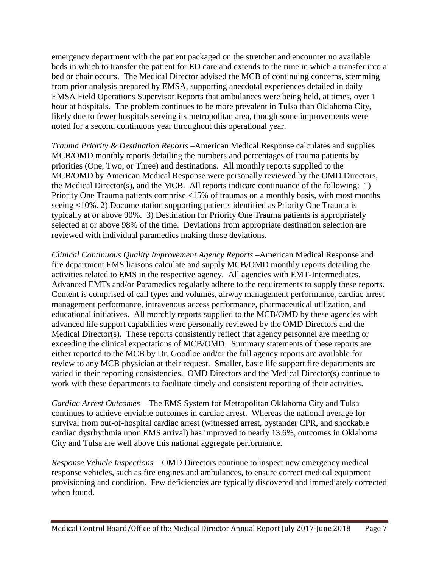emergency department with the patient packaged on the stretcher and encounter no available beds in which to transfer the patient for ED care and extends to the time in which a transfer into a bed or chair occurs. The Medical Director advised the MCB of continuing concerns, stemming from prior analysis prepared by EMSA, supporting anecdotal experiences detailed in daily EMSA Field Operations Supervisor Reports that ambulances were being held, at times, over 1 hour at hospitals. The problem continues to be more prevalent in Tulsa than Oklahoma City, likely due to fewer hospitals serving its metropolitan area, though some improvements were noted for a second continuous year throughout this operational year.

*Trauma Priority & Destination Reports* –American Medical Response calculates and supplies MCB/OMD monthly reports detailing the numbers and percentages of trauma patients by priorities (One, Two, or Three) and destinations. All monthly reports supplied to the MCB/OMD by American Medical Response were personally reviewed by the OMD Directors, the Medical Director(s), and the MCB. All reports indicate continuance of the following: 1) Priority One Trauma patients comprise <15% of traumas on a monthly basis, with most months seeing <10%. 2) Documentation supporting patients identified as Priority One Trauma is typically at or above 90%. 3) Destination for Priority One Trauma patients is appropriately selected at or above 98% of the time. Deviations from appropriate destination selection are reviewed with individual paramedics making those deviations.

*Clinical Continuous Quality Improvement Agency Reports* –American Medical Response and fire department EMS liaisons calculate and supply MCB/OMD monthly reports detailing the activities related to EMS in the respective agency. All agencies with EMT-Intermediates, Advanced EMTs and/or Paramedics regularly adhere to the requirements to supply these reports. Content is comprised of call types and volumes, airway management performance, cardiac arrest management performance, intravenous access performance, pharmaceutical utilization, and educational initiatives. All monthly reports supplied to the MCB/OMD by these agencies with advanced life support capabilities were personally reviewed by the OMD Directors and the Medical Director(s). These reports consistently reflect that agency personnel are meeting or exceeding the clinical expectations of MCB/OMD. Summary statements of these reports are either reported to the MCB by Dr. Goodloe and/or the full agency reports are available for review to any MCB physician at their request. Smaller, basic life support fire departments are varied in their reporting consistencies. OMD Directors and the Medical Director(s) continue to work with these departments to facilitate timely and consistent reporting of their activities.

*Cardiac Arrest Outcomes* – The EMS System for Metropolitan Oklahoma City and Tulsa continues to achieve enviable outcomes in cardiac arrest. Whereas the national average for survival from out-of-hospital cardiac arrest (witnessed arrest, bystander CPR, and shockable cardiac dysrhythmia upon EMS arrival) has improved to nearly 13.6%, outcomes in Oklahoma City and Tulsa are well above this national aggregate performance.

*Response Vehicle Inspections* – OMD Directors continue to inspect new emergency medical response vehicles, such as fire engines and ambulances, to ensure correct medical equipment provisioning and condition. Few deficiencies are typically discovered and immediately corrected when found.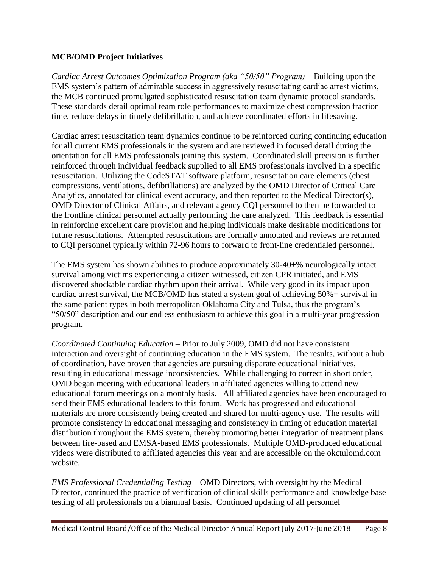#### **MCB/OMD Project Initiatives**

*Cardiac Arrest Outcomes Optimization Program (aka "50/50" Program) –* Building upon the EMS system's pattern of admirable success in aggressively resuscitating cardiac arrest victims, the MCB continued promulgated sophisticated resuscitation team dynamic protocol standards. These standards detail optimal team role performances to maximize chest compression fraction time, reduce delays in timely defibrillation, and achieve coordinated efforts in lifesaving.

Cardiac arrest resuscitation team dynamics continue to be reinforced during continuing education for all current EMS professionals in the system and are reviewed in focused detail during the orientation for all EMS professionals joining this system. Coordinated skill precision is further reinforced through individual feedback supplied to all EMS professionals involved in a specific resuscitation. Utilizing the CodeSTAT software platform, resuscitation care elements (chest compressions, ventilations, defibrillations) are analyzed by the OMD Director of Critical Care Analytics, annotated for clinical event accuracy, and then reported to the Medical Director(s), OMD Director of Clinical Affairs, and relevant agency CQI personnel to then be forwarded to the frontline clinical personnel actually performing the care analyzed. This feedback is essential in reinforcing excellent care provision and helping individuals make desirable modifications for future resuscitations. Attempted resuscitations are formally annotated and reviews are returned to CQI personnel typically within 72-96 hours to forward to front-line credentialed personnel.

The EMS system has shown abilities to produce approximately 30-40+% neurologically intact survival among victims experiencing a citizen witnessed, citizen CPR initiated, and EMS discovered shockable cardiac rhythm upon their arrival. While very good in its impact upon cardiac arrest survival, the MCB/OMD has stated a system goal of achieving 50%+ survival in the same patient types in both metropolitan Oklahoma City and Tulsa, thus the program's "50/50" description and our endless enthusiasm to achieve this goal in a multi-year progression program.

*Coordinated Continuing Education* – Prior to July 2009, OMD did not have consistent interaction and oversight of continuing education in the EMS system. The results, without a hub of coordination, have proven that agencies are pursuing disparate educational initiatives, resulting in educational message inconsistencies. While challenging to correct in short order, OMD began meeting with educational leaders in affiliated agencies willing to attend new educational forum meetings on a monthly basis. All affiliated agencies have been encouraged to send their EMS educational leaders to this forum. Work has progressed and educational materials are more consistently being created and shared for multi-agency use. The results will promote consistency in educational messaging and consistency in timing of education material distribution throughout the EMS system, thereby promoting better integration of treatment plans between fire-based and EMSA-based EMS professionals. Multiple OMD-produced educational videos were distributed to affiliated agencies this year and are accessible on the okctulomd.com website.

*EMS Professional Credentialing Testing* – OMD Directors, with oversight by the Medical Director, continued the practice of verification of clinical skills performance and knowledge base testing of all professionals on a biannual basis. Continued updating of all personnel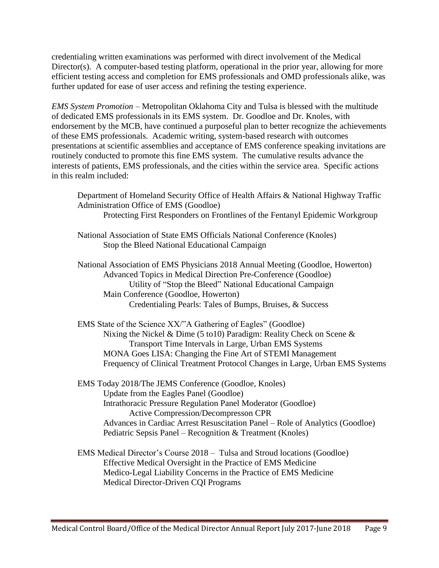credentialing written examinations was performed with direct involvement of the Medical Director(s). A computer-based testing platform, operational in the prior year, allowing for more efficient testing access and completion for EMS professionals and OMD professionals alike, was further updated for ease of user access and refining the testing experience.

*EMS System Promotion* – Metropolitan Oklahoma City and Tulsa is blessed with the multitude of dedicated EMS professionals in its EMS system. Dr. Goodloe and Dr. Knoles, with endorsement by the MCB, have continued a purposeful plan to better recognize the achievements of these EMS professionals. Academic writing, system-based research with outcomes presentations at scientific assemblies and acceptance of EMS conference speaking invitations are routinely conducted to promote this fine EMS system. The cumulative results advance the interests of patients, EMS professionals, and the cities within the service area. Specific actions in this realm included:

Department of Homeland Security Office of Health Affairs & National Highway Traffic Administration Office of EMS (Goodloe) Protecting First Responders on Frontlines of the Fentanyl Epidemic Workgroup

National Association of State EMS Officials National Conference (Knoles)

Stop the Bleed National Educational Campaign

National Association of EMS Physicians 2018 Annual Meeting (Goodloe, Howerton) Advanced Topics in Medical Direction Pre-Conference (Goodloe) Utility of "Stop the Bleed" National Educational Campaign Main Conference (Goodloe, Howerton) Credentialing Pearls: Tales of Bumps, Bruises, & Success

EMS State of the Science XX/"A Gathering of Eagles" (Goodloe) Nixing the Nickel & Dime (5 to10) Paradigm: Reality Check on Scene & Transport Time Intervals in Large, Urban EMS Systems MONA Goes LISA: Changing the Fine Art of STEMI Management Frequency of Clinical Treatment Protocol Changes in Large, Urban EMS Systems

EMS Today 2018/The JEMS Conference (Goodloe, Knoles) Update from the Eagles Panel (Goodloe) Intrathoracic Pressure Regulation Panel Moderator (Goodloe) Active Compression/Decompresson CPR Advances in Cardiac Arrest Resuscitation Panel – Role of Analytics (Goodloe) Pediatric Sepsis Panel – Recognition & Treatment (Knoles)

EMS Medical Director's Course 2018 – Tulsa and Stroud locations (Goodloe) Effective Medical Oversight in the Practice of EMS Medicine Medico-Legal Liability Concerns in the Practice of EMS Medicine Medical Director-Driven CQI Programs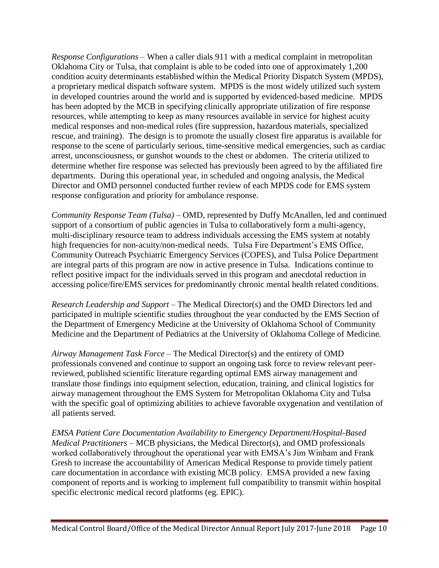*Response Configurations* – When a caller dials 911 with a medical complaint in metropolitan Oklahoma City or Tulsa, that complaint is able to be coded into one of approximately 1,200 condition acuity determinants established within the Medical Priority Dispatch System (MPDS), a proprietary medical dispatch software system. MPDS is the most widely utilized such system in developed countries around the world and is supported by evidenced-based medicine. MPDS has been adopted by the MCB in specifying clinically appropriate utilization of fire response resources, while attempting to keep as many resources available in service for highest acuity medical responses and non-medical roles (fire suppression, hazardous materials, specialized rescue, and training). The design is to promote the usually closest fire apparatus is available for response to the scene of particularly serious, time-sensitive medical emergencies, such as cardiac arrest, unconsciousness, or gunshot wounds to the chest or abdomen. The criteria utilized to determine whether fire response was selected has previously been agreed to by the affiliated fire departments. During this operational year, in scheduled and ongoing analysis, the Medical Director and OMD personnel conducted further review of each MPDS code for EMS system response configuration and priority for ambulance response.

*Community Response Team (Tulsa) –* OMD, represented by Duffy McAnallen, led and continued support of a consortium of public agencies in Tulsa to collaboratively form a multi-agency, multi-disciplinary resource team to address individuals accessing the EMS system at notably high frequencies for non-acuity/non-medical needs. Tulsa Fire Department's EMS Office, Community Outreach Psychiatric Emergency Services (COPES), and Tulsa Police Department are integral parts of this program are now in active presence in Tulsa. Indications continue to reflect positive impact for the individuals served in this program and anecdotal reduction in accessing police/fire/EMS services for predominantly chronic mental health related conditions.

*Research Leadership and Support* – The Medical Director(s) and the OMD Directors led and participated in multiple scientific studies throughout the year conducted by the EMS Section of the Department of Emergency Medicine at the University of Oklahoma School of Community Medicine and the Department of Pediatrics at the University of Oklahoma College of Medicine.

*Airway Management Task Force* – The Medical Director(s) and the entirety of OMD professionals convened and continue to support an ongoing task force to review relevant peerreviewed, published scientific literature regarding optimal EMS airway management and translate those findings into equipment selection, education, training, and clinical logistics for airway management throughout the EMS System for Metropolitan Oklahoma City and Tulsa with the specific goal of optimizing abilities to achieve favorable oxygenation and ventilation of all patients served.

*EMSA Patient Care Documentation Availability to Emergency Department/Hospital-Based Medical Practitioners* – MCB physicians, the Medical Director(s), and OMD professionals worked collaboratively throughout the operational year with EMSA's Jim Winham and Frank Gresh to increase the accountability of American Medical Response to provide timely patient care documentation in accordance with existing MCB policy. EMSA provided a new faxing component of reports and is working to implement full compatibility to transmit within hospital specific electronic medical record platforms (eg. EPIC).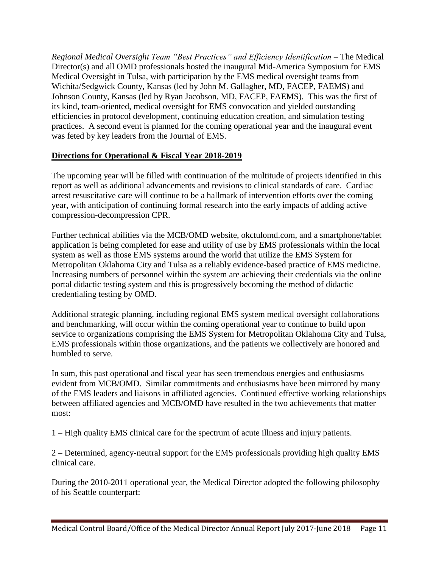*Regional Medical Oversight Team "Best Practices" and Efficiency Identification* – The Medical Director(s) and all OMD professionals hosted the inaugural Mid-America Symposium for EMS Medical Oversight in Tulsa, with participation by the EMS medical oversight teams from Wichita/Sedgwick County, Kansas (led by John M. Gallagher, MD, FACEP, FAEMS) and Johnson County, Kansas (led by Ryan Jacobson, MD, FACEP, FAEMS). This was the first of its kind, team-oriented, medical oversight for EMS convocation and yielded outstanding efficiencies in protocol development, continuing education creation, and simulation testing practices. A second event is planned for the coming operational year and the inaugural event was feted by key leaders from the Journal of EMS.

### **Directions for Operational & Fiscal Year 2018-2019**

The upcoming year will be filled with continuation of the multitude of projects identified in this report as well as additional advancements and revisions to clinical standards of care. Cardiac arrest resuscitative care will continue to be a hallmark of intervention efforts over the coming year, with anticipation of continuing formal research into the early impacts of adding active compression-decompression CPR.

Further technical abilities via the MCB/OMD website, okctulomd.com, and a smartphone/tablet application is being completed for ease and utility of use by EMS professionals within the local system as well as those EMS systems around the world that utilize the EMS System for Metropolitan Oklahoma City and Tulsa as a reliably evidence-based practice of EMS medicine. Increasing numbers of personnel within the system are achieving their credentials via the online portal didactic testing system and this is progressively becoming the method of didactic credentialing testing by OMD.

Additional strategic planning, including regional EMS system medical oversight collaborations and benchmarking, will occur within the coming operational year to continue to build upon service to organizations comprising the EMS System for Metropolitan Oklahoma City and Tulsa, EMS professionals within those organizations, and the patients we collectively are honored and humbled to serve.

In sum, this past operational and fiscal year has seen tremendous energies and enthusiasms evident from MCB/OMD. Similar commitments and enthusiasms have been mirrored by many of the EMS leaders and liaisons in affiliated agencies. Continued effective working relationships between affiliated agencies and MCB/OMD have resulted in the two achievements that matter most:

1 – High quality EMS clinical care for the spectrum of acute illness and injury patients.

2 – Determined, agency-neutral support for the EMS professionals providing high quality EMS clinical care.

During the 2010-2011 operational year, the Medical Director adopted the following philosophy of his Seattle counterpart: